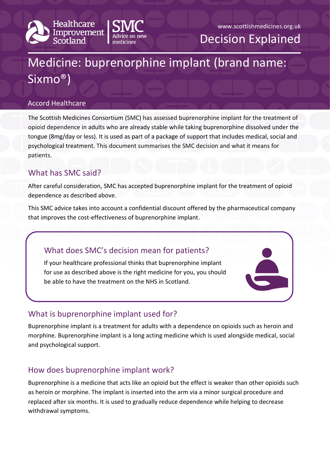



www.scottishmedicines.org.uk Decision Explained

# Medicine: buprenorphine implant (brand name: Sixmo®)

#### Accord Healthcare

The Scottish Medicines Consortium (SMC) has assessed buprenorphine implant for the treatment of opioid dependence in adults who are already stable while taking buprenorphine dissolved under the tongue (8mg/day or less). It is used as part of a package of support that includes medical, social and psychological treatment. This document summarises the SMC decision and what it means for patients.

# What has SMC said?

After careful consideration, SMC has accepted buprenorphine implant for the treatment of opioid dependence as described above.

This SMC advice takes into account a confidential discount offered by the pharmaceutical company that improves the cost-effectiveness of buprenorphine implant.

# What does SMC's decision mean for patients?

If your healthcare professional thinks that buprenorphine implant for use as described above is the right medicine for you, you should be able to have the treatment on the NHS in Scotland.

# What is buprenorphine implant used for?

Buprenorphine implant is a treatment for adults with a dependence on opioids such as heroin and morphine. Buprenorphine implant is a long acting medicine which is used alongside medical, social and psychological support.

# How does buprenorphine implant work?

Buprenorphine is a medicine that acts like an opioid but the effect is weaker than other opioids such as heroin or morphine. The implant is inserted into the arm via a minor surgical procedure and replaced after six months. It is used to gradually reduce dependence while helping to decrease withdrawal symptoms.